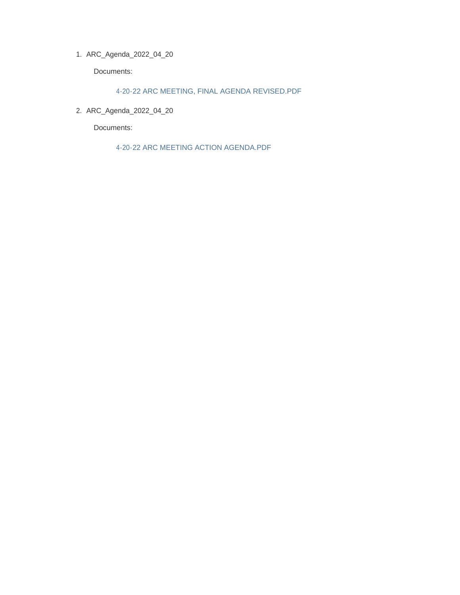ARC\_Agenda\_2022\_04\_20 1.

Documents:

4-20-22 ARC MEETING, FINAL AGENDA REVISED.PDF

ARC\_Agenda\_2022\_04\_20 2.

Documents:

4-20-22 ARC MEETING ACTION AGENDA.PDF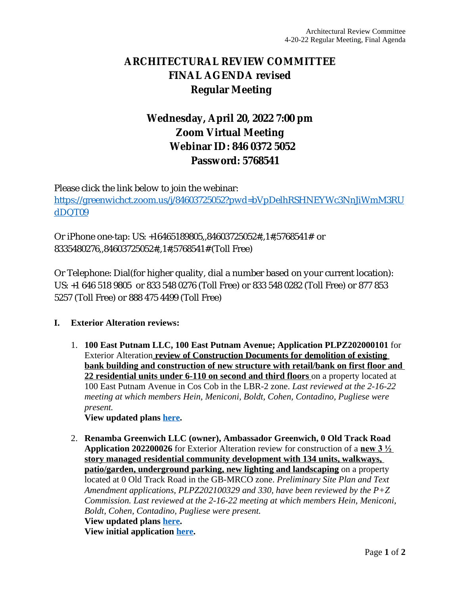# **ARCHITECTURAL REVIEW COMMITTEE FINAL AGENDA revised Regular Meeting**

# **Wednesday, April 20, 2022 7:00 pm Zoom Virtual Meeting Webinar ID: 846 0372 5052 Password: 5768541**

Please click the link below to join the webinar: [https://greenwichct.zoom.us/j/84603725052?pwd=bVpDelhRSHNEYWc3NnJiWmM3RU](https://greenwichct.zoom.us/j/84603725052?pwd=bVpDelhRSHNEYWc3NnJiWmM3RUdDQT09) dDQT09

Or iPhone one-tap: US: +16465189805,,84603725052#,,1#,5768541# or 8335480276,,84603725052#,,1#,5768541# (Toll Free)

Or Telephone: Dial(for higher quality, dial a number based on your current location): US: +1 646 518 9805 or 833 548 0276 (Toll Free) or 833 548 0282 (Toll Free) or 877 853 5257 (Toll Free) or 888 475 4499 (Toll Free)

## **I. Exterior Alteration reviews:**

1. **100 East Putnam LLC, 100 East Putnam Avenue; Application PLPZ202000101** for Exterior Alteration **review of Construction Documents for demolition of existing bank building and construction of new structure with retail/bank on first floor and 22 residential units under 6-110 on second and third floors** on a property located at 100 East Putnam Avenue in Cos Cob in the LBR-2 zone. *Last reviewed at the 2-16-22 meeting at which members Hein, Meniconi, Boldt, Cohen, Contadino, Pugliese were present.* 

**View updated plans [here.](https://www.greenwichct.gov/DocumentCenter/View/30610/100EAST_ARC-SUBMISSION_CD-PROGRESS_220331_REV1)**

2. **Renamba Greenwich LLC (owner), Ambassador Greenwich, 0 Old Track Road Application 202200026** for Exterior Alteration review for construction of a **new 3 ½ story managed residential community development with 134 units, walkways, patio/garden, underground parking, new lighting and landscaping** on a property located at 0 Old Track Road in the GB-MRCO zone. *Preliminary Site Plan and Text Amendment applications, PLPZ202100329 and 330, have been reviewed by the P+Z Commission. Last reviewed at the 2-16-22 meeting at which members Hein, Meniconi, Boldt, Cohen, Contadino, Pugliese were present.*  **View updated plans [here.](https://www.greenwichct.gov/DocumentCenter/View/30580/Renamba-0-Old-Track-revised-plans) View initial application [here.](https://www.greenwichct.gov/DocumentCenter/View/28438/0-Old-Track-PLPZ202200026-ARC-EA)**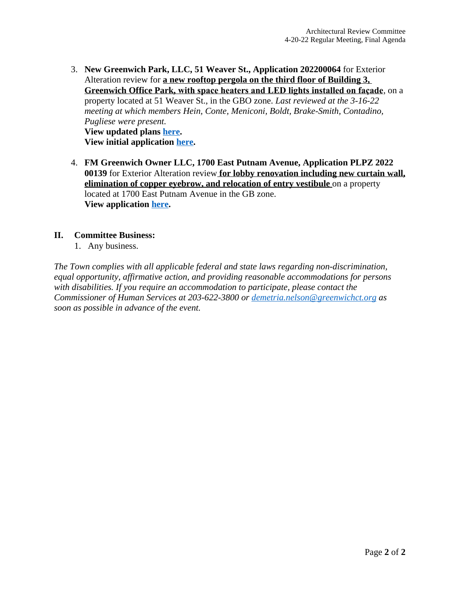- 3. **New Greenwich Park, LLC, 51 Weaver St., Application 202200064** for Exterior Alteration review for **a new rooftop pergola on the third floor of Building 3, Greenwich Office Park, with space heaters and LED lights installed on façade**, on a property located at 51 Weaver St., in the GBO zone. *Last reviewed at the 3-16-22 meeting at which members Hein, Conte, Meniconi, Boldt, Brake-Smith, Contadino, Pugliese were present.* **View updated plans [here.](https://www.greenwichct.gov/DocumentCenter/View/30579/Citibank-GOP-Bldg-5-51-Weaver-St-revised) View initial application [here.](https://www.greenwichct.gov/DocumentCenter/View/29082/202200064-51-Weaver-St-GOP-pergola)**
- 4. **FM Greenwich Owner LLC, 1700 East Putnam Avenue, Application PLPZ 2022 00139** for Exterior Alteration review **for lobby renovation including new curtain wall, elimination of copper eyebrow, and relocation of entry vestibule** on a property located at 1700 East Putnam Avenue in the GB zone. **View application [here](https://www.greenwichct.gov/DocumentCenter/View/30578/1700-EPA-lobby-reno-application).**

### **II. Committee Business:**

1. Any business.

*The Town complies with all applicable federal and state laws regarding non-discrimination, equal opportunity, affirmative action, and providing reasonable accommodations for persons with disabilities. If you require an accommodation to participate, please contact the Commissioner of Human Services at 203-622-3800 or [demetria.nelson@greenwichct.org](mailto:demetria.nelson@greenwichct.org) as soon as possible in advance of the event.*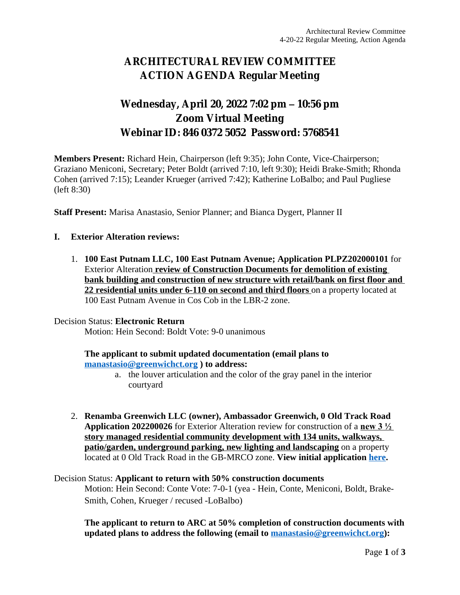# **ARCHITECTURAL REVIEW COMMITTEE ACTION AGENDA Regular Meeting**

## **Wednesday, April 20, 2022 7:02 pm – 10:56 pm Zoom Virtual Meeting Webinar ID: 846 0372 5052 Password: 5768541**

**Members Present:** Richard Hein, Chairperson (left 9:35); John Conte, Vice-Chairperson; Graziano Meniconi, Secretary; Peter Boldt (arrived 7:10, left 9:30); Heidi Brake-Smith; Rhonda Cohen (arrived 7:15); Leander Krueger (arrived 7:42); Katherine LoBalbo; and Paul Pugliese (left 8:30)

**Staff Present:** Marisa Anastasio, Senior Planner; and Bianca Dygert, Planner II

#### **I. Exterior Alteration reviews:**

1. **100 East Putnam LLC, 100 East Putnam Avenue; Application PLPZ202000101** for Exterior Alteration **review of Construction Documents for demolition of existing bank building and construction of new structure with retail/bank on first floor and 22 residential units under 6-110 on second and third floors** on a property located at 100 East Putnam Avenue in Cos Cob in the LBR-2 zone.

#### Decision Status: **Electronic Return**

Motion: Hein Second: Boldt Vote: 9-0 unanimous

### **The applicant to submit updated documentation (email plans to [manastasio@greenwichct.org](mailto:manastasio@greenwichct.org) ) to address:**

- a. the louver articulation and the color of the gray panel in the interior courtyard
- 2. **Renamba Greenwich LLC (owner), Ambassador Greenwich, 0 Old Track Road Application 202200026** for Exterior Alteration review for construction of a **new 3 ½ story managed residential community development with 134 units, walkways, patio/garden, underground parking, new lighting and landscaping** on a property located at 0 Old Track Road in the GB-MRCO zone. **View initial application [here.](https://www.greenwichct.gov/DocumentCenter/View/28438/0-Old-Track-PLPZ202200026-ARC-EA)**

## Decision Status: **Applicant to return with 50% construction documents** Motion: Hein Second: Conte Vote: 7-0-1 (yea - Hein, Conte, Meniconi, Boldt, Brake-Smith, Cohen, Krueger / recused -LoBalbo)

**The applicant to return to ARC at 50% completion of construction documents with updated plans to address the following (email to [manastasio@greenwichct.org](mailto:manastasio@greenwichct.org)):**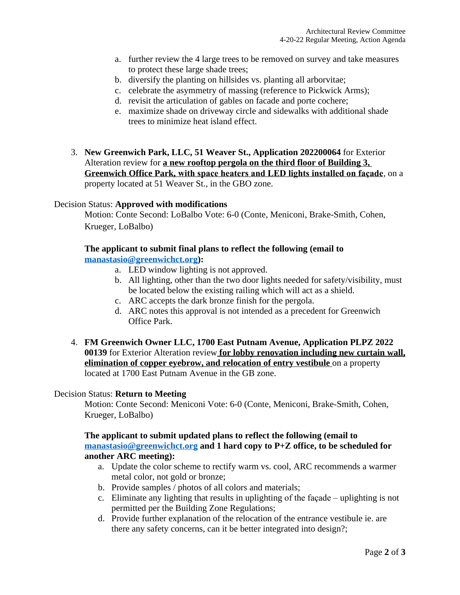- a. further review the 4 large trees to be removed on survey and take measures to protect these large shade trees;
- b. diversify the planting on hillsides vs. planting all arborvitae;
- c. celebrate the asymmetry of massing (reference to Pickwick Arms);
- d. revisit the articulation of gables on facade and porte cochere;
- e. maximize shade on driveway circle and sidewalks with additional shade trees to minimize heat island effect.
- 3. **New Greenwich Park, LLC, 51 Weaver St., Application 202200064** for Exterior Alteration review for **a new rooftop pergola on the third floor of Building 3, Greenwich Office Park, with space heaters and LED lights installed on façade**, on a property located at 51 Weaver St., in the GBO zone.

#### Decision Status: **Approved with modifications**

Motion: Conte Second: LoBalbo Vote: 6-0 (Conte, Meniconi, Brake-Smith, Cohen, Krueger, LoBalbo)

#### **The applicant to submit final plans to reflect the following (email to [manastasio@greenwichct.org](mailto:manastasio@greenwichct.org)):**

- a. LED window lighting is not approved.
- b. All lighting, other than the two door lights needed for safety/visibility, must be located below the existing railing which will act as a shield.
- c. ARC accepts the dark bronze finish for the pergola.
- d. ARC notes this approval is not intended as a precedent for Greenwich Office Park.
- 4. **FM Greenwich Owner LLC, 1700 East Putnam Avenue, Application PLPZ 2022 00139** for Exterior Alteration review **for lobby renovation including new curtain wall, elimination of copper eyebrow, and relocation of entry vestibule** on a property located at 1700 East Putnam Avenue in the GB zone.

### Decision Status: **Return to Meeting**

Motion: Conte Second: Meniconi Vote: 6-0 (Conte, Meniconi, Brake-Smith, Cohen, Krueger, LoBalbo)

### **The applicant to submit updated plans to reflect the following (email to [manastasio@greenwichct.org](mailto:manastasio@greenwichct.org) and 1 hard copy to P+Z office, to be scheduled for another ARC meeting):**

- a. Update the color scheme to rectify warm vs. cool, ARC recommends a warmer metal color, not gold or bronze;
- b. Provide samples / photos of all colors and materials;
- c. Eliminate any lighting that results in uplighting of the façade uplighting is not permitted per the Building Zone Regulations;
- d. Provide further explanation of the relocation of the entrance vestibule ie. are there any safety concerns, can it be better integrated into design?;